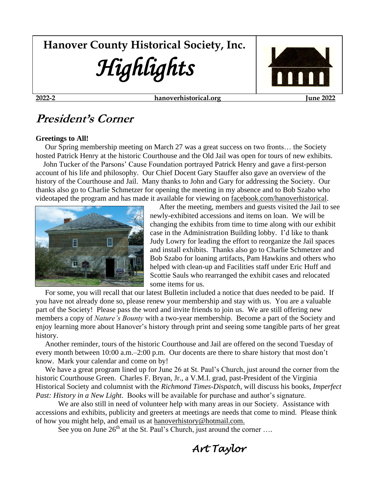# **Hanover County Historical Society, Inc.** *Highlights*



**2022-2 [hanoverhistorical.org](about:blank) June 2022**

## **President's Corner**

#### **Greetings to All!**

 Our Spring membership meeting on March 27 was a great success on two fronts… the Society hosted Patrick Henry at the historic Courthouse and the Old Jail was open for tours of new exhibits.

 John Tucker of the Parsons' Cause Foundation portrayed Patrick Henry and gave a first-person account of his life and philosophy. Our Chief Docent Gary Stauffer also gave an overview of the history of the Courthouse and Jail. Many thanks to John and Gary for addressing the Society. Our thanks also go to Charlie Schmetzer for opening the meeting in my absence and to Bob Szabo who videotaped the program and has made it available for viewing on facebook.com/hanoverhistorical.



 After the meeting, members and guests visited the Jail to see newly-exhibited accessions and items on loan. We will be changing the exhibits from time to time along with our exhibit case in the Administration Building lobby. I'd like to thank Judy Lowry for leading the effort to reorganize the Jail spaces and install exhibits. Thanks also go to Charlie Schmetzer and Bob Szabo for loaning artifacts, Pam Hawkins and others who helped with clean-up and Facilities staff under Eric Huff and Scottie Sauls who rearranged the exhibit cases and relocated some items for us.

 For some, you will recall that our latest Bulletin included a notice that dues needed to be paid. If you have not already done so, please renew your membership and stay with us. You are a valuable part of the Society! Please pass the word and invite friends to join us. We are still offering new members a copy of *Nature's Bounty* with a two-year membership. Become a part of the Society and enjoy learning more about Hanover's history through print and seeing some tangible parts of her great history.

 Another reminder, tours of the historic Courthouse and Jail are offered on the second Tuesday of every month between 10:00 a.m.–2:00 p.m. Our docents are there to share history that most don't know. Mark your calendar and come on by!

We have a great program lined up for June 26 at St. Paul's Church, just around the corner from the historic Courthouse Green. Charles F. Bryan, Jr., a V.M.I. grad, past-President of the Virginia Historical Society and columnist with the *Richmond Times-Dispatch*, will discuss his books, *Imperfect Past: History in a New Light*. Books will be available for purchase and author's signature.

We are also still in need of volunteer help with many areas in our Society. Assistance with accessions and exhibits, publicity and greeters at meetings are needs that come to mind. Please think of how you might help, and email us at hanoverhistory@hotmail.com.

See you on June  $26<sup>th</sup>$  at the St. Paul's Church, just around the corner ...

*Art Taylor*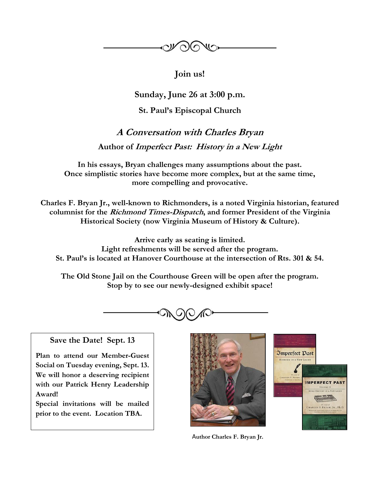

**Join us!**

**Sunday, June 26 at 3:00 p.m.**

**St. Paul's Episcopal Church**

**A Conversation with Charles Bryan Author of Imperfect Past: History in a New Light**

**In his essays, Bryan challenges many assumptions about the past. Once simplistic stories have become more complex, but at the same time, more compelling and provocative.**

**Charles F. Bryan Jr., well-known to Richmonders, is a noted Virginia historian, featured columnist for the Richmond Times-Dispatch, and former President of the Virginia Historical Society (now Virginia Museum of History & Culture).** 

**Arrive early as seating is limited. Light refreshments will be served after the program. St. Paul's is located at Hanover Courthouse at the intersection of Rts. 301 & 54.**

**The Old Stone Jail on the Courthouse Green will be open after the program. Stop by to see our newly-designed exhibit space!**



### **Save the Date! Sept. 13**

**Plan to attend our Member-Guest Social on Tuesday evening, Sept. 13. We will honor a deserving recipient with our Patrick Henry Leadership Award!** 

**Special invitations will be mailed prior to the event. Location TBA.**





A**uthor Charles F. Bryan Jr.**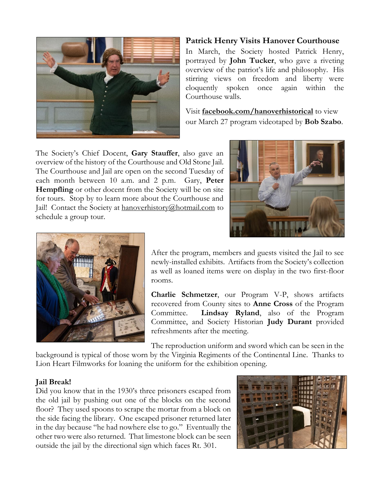

#### **Patrick Henry Visits Hanover Courthouse**

In March, the Society hosted Patrick Henry, portrayed by **John Tucker**, who gave a riveting overview of the patriot's life and philosophy. His stirring views on freedom and liberty were eloquently spoken once again within the Courthouse walls.

Visit **facebook.com/hanoverhistorical** to view our March 27 program videotaped by **Bob Szabo**.

The Society's Chief Docent, **Gary Stauffer**, also gave an overview of the history of the Courthouse and Old Stone Jail. The Courthouse and Jail are open on the second Tuesday of each month between 10 a.m. and 2 p.m. Gary, **Peter Hempfling** or other docent from the Society will be on site for tours. Stop by to learn more about the Courthouse and Jail! Contact the Society at [hanoverhistory@hotmail.com](mailto:hanoverhistory@hotmail.com) to schedule a group tour.





After the program, members and guests visited the Jail to see newly-installed exhibits. Artifacts from the Society's collection as well as loaned items were on display in the two first-floor rooms.

**Charlie Schmetzer**, our Program V-P, shows artifacts recovered from County sites to **Anne Cross** of the Program Committee. **Lindsay Ryland**, also of the Program Committee, and Society Historian **Judy Durant** provided refreshments after the meeting.

The reproduction uniform and sword which can be seen in the

background is typical of those worn by the Virginia Regiments of the Continental Line. Thanks to Lion Heart Filmworks for loaning the uniform for the exhibition opening.

#### **Jail Break!**

Did you know that in the 1930's three prisoners escaped from the old jail by pushing out one of the blocks on the second floor? They used spoons to scrape the mortar from a block on the side facing the library. One escaped prisoner returned later in the day because "he had nowhere else to go." Eventually the other two were also returned. That limestone block can be seen outside the jail by the directional sign which faces Rt. 301.